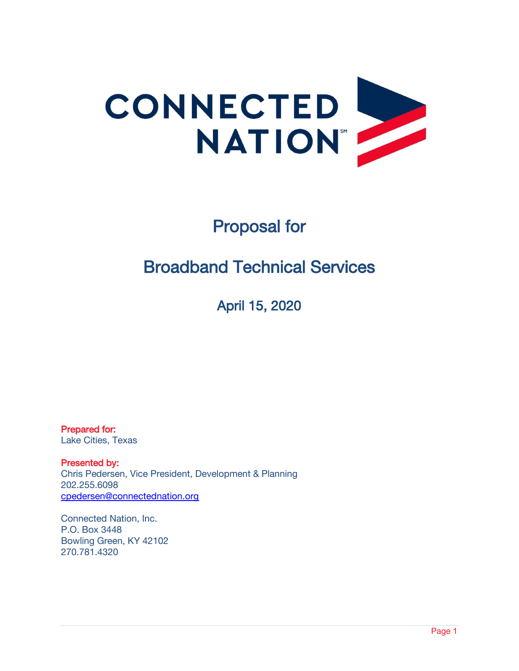

# Proposal for

## Broadband Technical Services

April 15, 2020

Prepared for: Lake Cities, Texas

Presented by: Chris Pedersen, Vice President, Development & Planning 202.255.6098 [cpedersen@connectednation.org](mailto:cpedersen@connectednation.org)

Connected Nation, Inc. P.O. Box 3448 Bowling Green, KY 42102 270.781.4320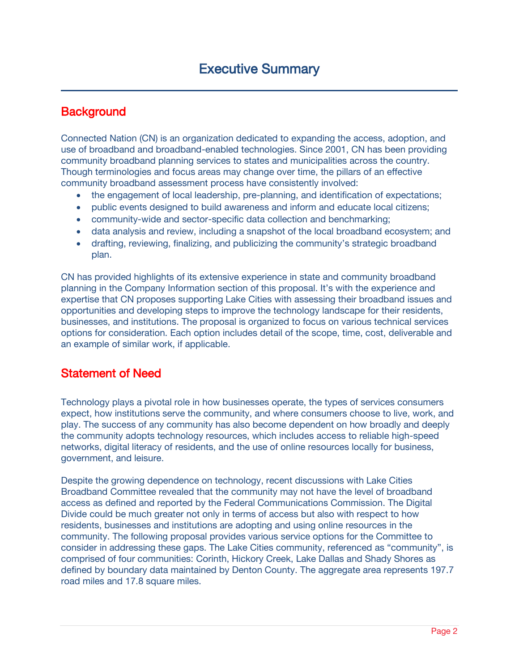### **Background**

Connected Nation (CN) is an organization dedicated to expanding the access, adoption, and use of broadband and broadband-enabled technologies. Since 2001, CN has been providing community broadband planning services to states and municipalities across the country. Though terminologies and focus areas may change over time, the pillars of an effective community broadband assessment process have consistently involved:

- the engagement of local leadership, pre-planning, and identification of expectations;
- public events designed to build awareness and inform and educate local citizens;
- community-wide and sector-specific data collection and benchmarking;
- data analysis and review, including a snapshot of the local broadband ecosystem; and
- drafting, reviewing, finalizing, and publicizing the community's strategic broadband plan.

CN has provided highlights of its extensive experience in state and community broadband planning in the Company Information section of this proposal. It's with the experience and expertise that CN proposes supporting Lake Cities with assessing their broadband issues and opportunities and developing steps to improve the technology landscape for their residents, businesses, and institutions. The proposal is organized to focus on various technical services options for consideration. Each option includes detail of the scope, time, cost, deliverable and an example of similar work, if applicable.

### Statement of Need

Technology plays a pivotal role in how businesses operate, the types of services consumers expect, how institutions serve the community, and where consumers choose to live, work, and play. The success of any community has also become dependent on how broadly and deeply the community adopts technology resources, which includes access to reliable high-speed networks, digital literacy of residents, and the use of online resources locally for business, government, and leisure.

Despite the growing dependence on technology, recent discussions with Lake Cities Broadband Committee revealed that the community may not have the level of broadband access as defined and reported by the Federal Communications Commission. The Digital Divide could be much greater not only in terms of access but also with respect to how residents, businesses and institutions are adopting and using online resources in the community. The following proposal provides various service options for the Committee to consider in addressing these gaps. The Lake Cities community, referenced as "community", is comprised of four communities: Corinth, Hickory Creek, Lake Dallas and Shady Shores as defined by boundary data maintained by Denton County. The aggregate area represents 197.7 road miles and 17.8 square miles.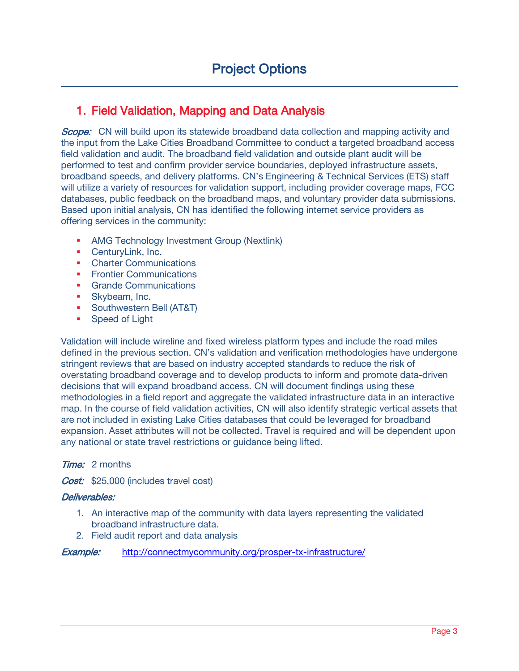### 1. Field Validation, Mapping and Data Analysis

**Scope:** CN will build upon its statewide broadband data collection and mapping activity and the input from the Lake Cities Broadband Committee to conduct a targeted broadband access field validation and audit. The broadband field validation and outside plant audit will be performed to test and confirm provider service boundaries, deployed infrastructure assets, broadband speeds, and delivery platforms. CN's Engineering & Technical Services (ETS) staff will utilize a variety of resources for validation support, including provider coverage maps, FCC databases, public feedback on the broadband maps, and voluntary provider data submissions. Based upon initial analysis, CN has identified the following internet service providers as offering services in the community:

- **AMG Technology Investment Group (Nextlink)**
- CenturyLink, Inc.
- Charter Communications
- **Frontier Communications**
- **Grande Communications**
- **Skybeam, Inc.**
- **Southwestern Bell (AT&T)**
- **Speed of Light**

Validation will include wireline and fixed wireless platform types and include the road miles defined in the previous section. CN's validation and verification methodologies have undergone stringent reviews that are based on industry accepted standards to reduce the risk of overstating broadband coverage and to develop products to inform and promote data-driven decisions that will expand broadband access. CN will document findings using these methodologies in a field report and aggregate the validated infrastructure data in an interactive map. In the course of field validation activities, CN will also identify strategic vertical assets that are not included in existing Lake Cities databases that could be leveraged for broadband expansion. Asset attributes will not be collected. Travel is required and will be dependent upon any national or state travel restrictions or guidance being lifted.

### **Time:** 2 months

Cost: \$25,000 (includes travel cost)

### Deliverables:

- 1. An interactive map of the community with data layers representing the validated broadband infrastructure data.
- 2. Field audit report and data analysis

**Example:** <http://connectmycommunity.org/prosper-tx-infrastructure/>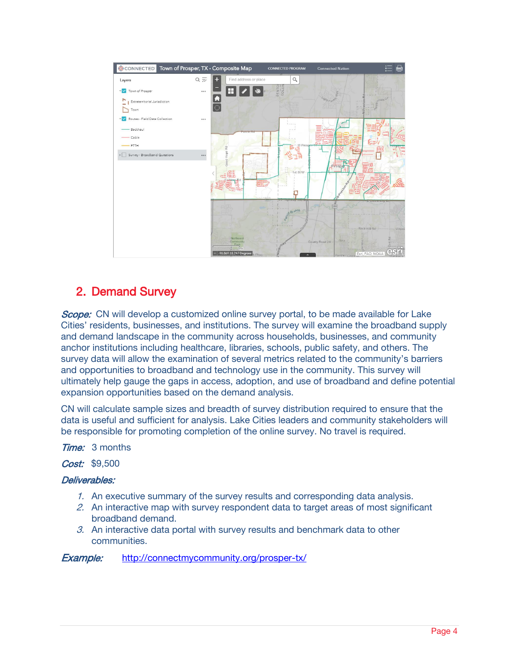

### 2. Demand Survey

Scope: CN will develop a customized online survey portal, to be made available for Lake Cities' residents, businesses, and institutions. The survey will examine the broadband supply and demand landscape in the community across households, businesses, and community anchor institutions including healthcare, libraries, schools, public safety, and others. The survey data will allow the examination of several metrics related to the community's barriers and opportunities to broadband and technology use in the community. This survey will ultimately help gauge the gaps in access, adoption, and use of broadband and define potential expansion opportunities based on the demand analysis.

CN will calculate sample sizes and breadth of survey distribution required to ensure that the data is useful and sufficient for analysis. Lake Cities leaders and community stakeholders will be responsible for promoting completion of the online survey. No travel is required.

**Time:** 3 months

Cost: \$9.500

### Deliverables:

- 1. An executive summary of the survey results and corresponding data analysis.
- 2. An interactive map with survey respondent data to target areas of most significant broadband demand.
- 3. An interactive data portal with survey results and benchmark data to other communities.

Example: <http://connectmycommunity.org/prosper-tx/>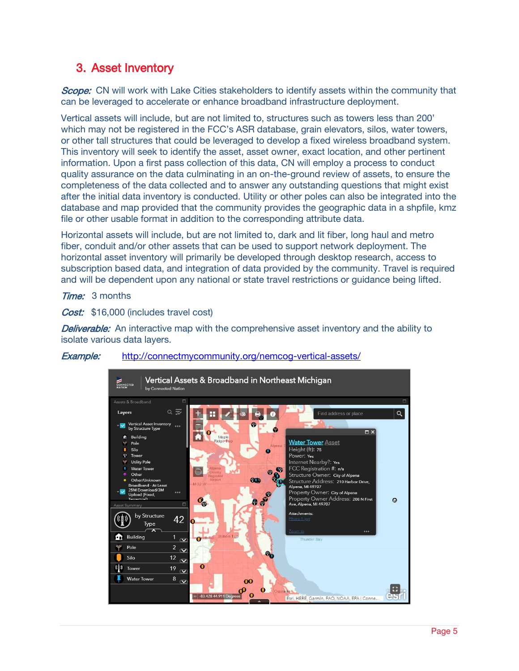### 3. Asset Inventory

Scope: CN will work with Lake Cities stakeholders to identify assets within the community that can be leveraged to accelerate or enhance broadband infrastructure deployment.

Vertical assets will include, but are not limited to, structures such as towers less than 200' which may not be registered in the FCC's ASR database, grain elevators, silos, water towers, or other tall structures that could be leveraged to develop a fixed wireless broadband system. This inventory will seek to identify the asset, asset owner, exact location, and other pertinent information. Upon a first pass collection of this data, CN will employ a process to conduct quality assurance on the data culminating in an on-the-ground review of assets, to ensure the completeness of the data collected and to answer any outstanding questions that might exist after the initial data inventory is conducted. Utility or other poles can also be integrated into the database and map provided that the community provides the geographic data in a shpfile, kmz file or other usable format in addition to the corresponding attribute data.

Horizontal assets will include, but are not limited to, dark and lit fiber, long haul and metro fiber, conduit and/or other assets that can be used to support network deployment. The horizontal asset inventory will primarily be developed through desktop research, access to subscription based data, and integration of data provided by the community. Travel is required and will be dependent upon any national or state travel restrictions or guidance being lifted.

**Time:** 3 months

Cost: \$16,000 (includes travel cost)

**Deliverable:** An interactive map with the comprehensive asset inventory and the ability to isolate various data layers.



### Example: <http://connectmycommunity.org/nemcog-vertical-assets/>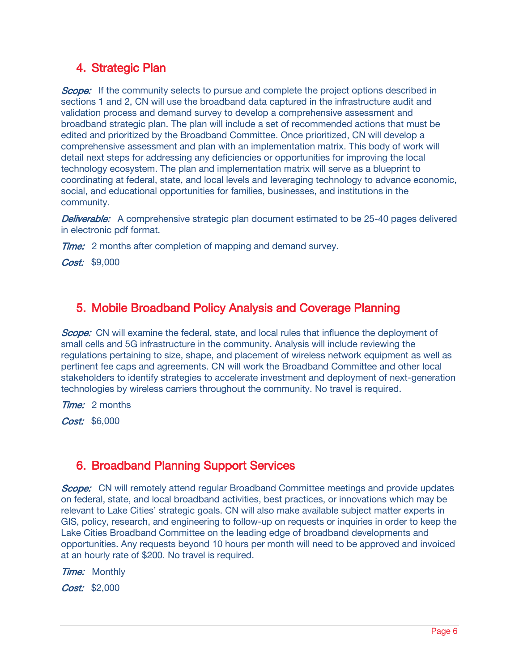### 4. Strategic Plan

Scope: If the community selects to pursue and complete the project options described in sections 1 and 2, CN will use the broadband data captured in the infrastructure audit and validation process and demand survey to develop a comprehensive assessment and broadband strategic plan. The plan will include a set of recommended actions that must be edited and prioritized by the Broadband Committee. Once prioritized, CN will develop a comprehensive assessment and plan with an implementation matrix. This body of work will detail next steps for addressing any deficiencies or opportunities for improving the local technology ecosystem. The plan and implementation matrix will serve as a blueprint to coordinating at federal, state, and local levels and leveraging technology to advance economic, social, and educational opportunities for families, businesses, and institutions in the community.

**Deliverable:** A comprehensive strategic plan document estimated to be 25-40 pages delivered in electronic pdf format.

**Time:** 2 months after completion of mapping and demand survey.

Cost: \$9,000

### 5. Mobile Broadband Policy Analysis and Coverage Planning

Scope: CN will examine the federal, state, and local rules that influence the deployment of small cells and 5G infrastructure in the community. Analysis will include reviewing the regulations pertaining to size, shape, and placement of wireless network equipment as well as pertinent fee caps and agreements. CN will work the Broadband Committee and other local stakeholders to identify strategies to accelerate investment and deployment of next-generation technologies by wireless carriers throughout the community. No travel is required.

**Time:** 2 months

Cost: \$6,000

### 6. Broadband Planning Support Services

**Scope:** CN will remotely attend regular Broadband Committee meetings and provide updates on federal, state, and local broadband activities, best practices, or innovations which may be relevant to Lake Cities' strategic goals. CN will also make available subject matter experts in GIS, policy, research, and engineering to follow-up on requests or inquiries in order to keep the Lake Cities Broadband Committee on the leading edge of broadband developments and opportunities. Any requests beyond 10 hours per month will need to be approved and invoiced at an hourly rate of \$200. No travel is required.

**Time:** Monthly Cost: \$2,000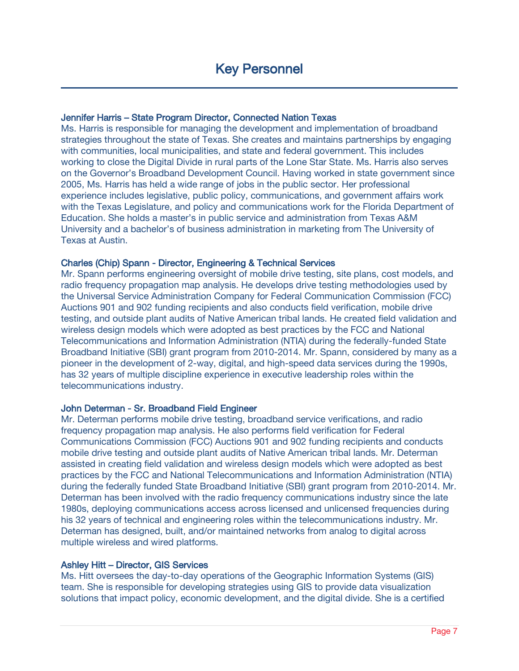### Jennifer Harris – State Program Director, Connected Nation Texas

Ms. Harris is responsible for managing the development and implementation of broadband strategies throughout the state of Texas. She creates and maintains partnerships by engaging with communities, local municipalities, and state and federal government. This includes working to close the Digital Divide in rural parts of the Lone Star State. Ms. Harris also serves on the Governor's Broadband Development Council. Having worked in state government since 2005, Ms. Harris has held a wide range of jobs in the public sector. Her professional experience includes legislative, public policy, communications, and government affairs work with the Texas Legislature, and policy and communications work for the Florida Department of Education. She holds a master's in public service and administration from Texas A&M University and a bachelor's of business administration in marketing from The University of Texas at Austin.

#### Charles (Chip) Spann - Director, Engineering & Technical Services

Mr. Spann performs engineering oversight of mobile drive testing, site plans, cost models, and radio frequency propagation map analysis. He develops drive testing methodologies used by the Universal Service Administration Company for Federal Communication Commission (FCC) Auctions 901 and 902 funding recipients and also conducts field verification, mobile drive testing, and outside plant audits of Native American tribal lands. He created field validation and wireless design models which were adopted as best practices by the FCC and National Telecommunications and Information Administration (NTIA) during the federally-funded State Broadband Initiative (SBI) grant program from 2010-2014. Mr. Spann, considered by many as a pioneer in the development of 2-way, digital, and high-speed data services during the 1990s, has 32 years of multiple discipline experience in executive leadership roles within the telecommunications industry.

### John Determan - Sr. Broadband Field Engineer

Mr. Determan performs mobile drive testing, broadband service verifications, and radio frequency propagation map analysis. He also performs field verification for Federal Communications Commission (FCC) Auctions 901 and 902 funding recipients and conducts mobile drive testing and outside plant audits of Native American tribal lands. Mr. Determan assisted in creating field validation and wireless design models which were adopted as best practices by the FCC and National Telecommunications and Information Administration (NTIA) during the federally funded State Broadband Initiative (SBI) grant program from 2010-2014. Mr. Determan has been involved with the radio frequency communications industry since the late 1980s, deploying communications access across licensed and unlicensed frequencies during his 32 years of technical and engineering roles within the telecommunications industry. Mr. Determan has designed, built, and/or maintained networks from analog to digital across multiple wireless and wired platforms.

#### Ashley Hitt – Director, GIS Services

Ms. Hitt oversees the day-to-day operations of the Geographic Information Systems (GIS) team. She is responsible for developing strategies using GIS to provide data visualization solutions that impact policy, economic development, and the digital divide. She is a certified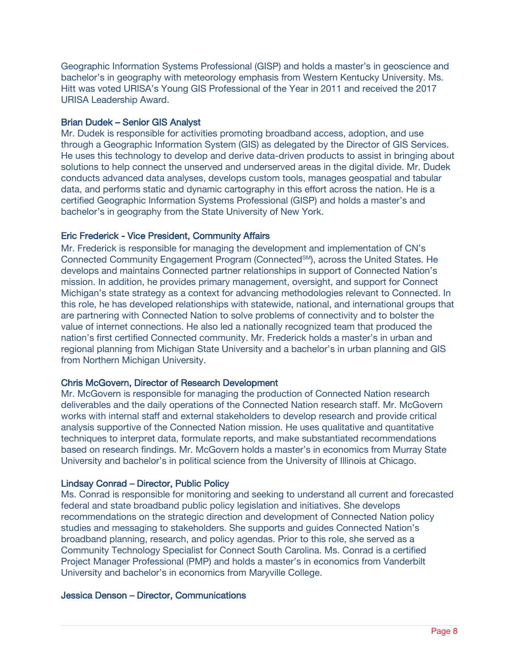Geographic Information Systems Professional (GISP) and holds a master's in geoscience and bachelor's in geography with meteorology emphasis from Western Kentucky University. Ms. Hitt was voted URISA's Young GIS Professional of the Year in 2011 and received the 2017 URISA Leadership Award.

### Brian Dudek – Senior GIS Analyst

Mr. Dudek is responsible for activities promoting broadband access, adoption, and use through a Geographic Information System (GIS) as delegated by the Director of GIS Services. He uses this technology to develop and derive data-driven products to assist in bringing about solutions to help connect the unserved and underserved areas in the digital divide. Mr. Dudek conducts advanced data analyses, develops custom tools, manages geospatial and tabular data, and performs static and dynamic cartography in this effort across the nation. He is a certified Geographic Information Systems Professional (GISP) and holds a master's and bachelor's in geography from the State University of New York.

### Eric Frederick - Vice President, Community Affairs

Mr. Frederick is responsible for managing the development and implementation of CN's Connected Community Engagement Program (Connected<sup>SM</sup>), across the United States. He develops and maintains Connected partner relationships in support of Connected Nation's mission. In addition, he provides primary management, oversight, and support for Connect Michigan's state strategy as a context for advancing methodologies relevant to Connected. In this role, he has developed relationships with statewide, national, and international groups that are partnering with Connected Nation to solve problems of connectivity and to bolster the value of internet connections. He also led a nationally recognized team that produced the nation's first certified Connected community. Mr. Frederick holds a master's in urban and regional planning from Michigan State University and a bachelor's in urban planning and GIS from Northern Michigan University.

### Chris McGovern, Director of Research Development

Mr. McGovern is responsible for managing the production of Connected Nation research deliverables and the daily operations of the Connected Nation research staff. Mr. McGovern works with internal staff and external stakeholders to develop research and provide critical analysis supportive of the Connected Nation mission. He uses qualitative and quantitative techniques to interpret data, formulate reports, and make substantiated recommendations based on research findings. Mr. McGovern holds a master's in economics from Murray State University and bachelor's in political science from the University of Illinois at Chicago.

### Lindsay Conrad – Director, Public Policy

Ms. Conrad is responsible for monitoring and seeking to understand all current and forecasted federal and state broadband public policy legislation and initiatives. She develops recommendations on the strategic direction and development of Connected Nation policy studies and messaging to stakeholders. She supports and guides Connected Nation's broadband planning, research, and policy agendas. Prior to this role, she served as a Community Technology Specialist for Connect South Carolina. Ms. Conrad is a certified Project Manager Professional (PMP) and holds a master's in economics from Vanderbilt University and bachelor's in economics from Maryville College.

### Jessica Denson – Director, Communications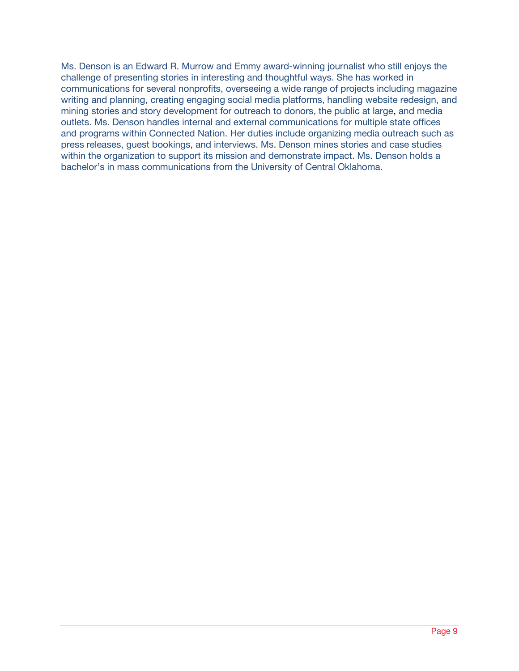Ms. Denson is an Edward R. Murrow and Emmy award-winning journalist who still enjoys the challenge of presenting stories in interesting and thoughtful ways. She has worked in communications for several nonprofits, overseeing a wide range of projects including magazine writing and planning, creating engaging social media platforms, handling website redesign, and mining stories and story development for outreach to donors, the public at large, and media outlets. Ms. Denson handles internal and external communications for multiple state offices and programs within Connected Nation. Her duties include organizing media outreach such as press releases, guest bookings, and interviews. Ms. Denson mines stories and case studies within the organization to support its mission and demonstrate impact. Ms. Denson holds a bachelor's in mass communications from the University of Central Oklahoma.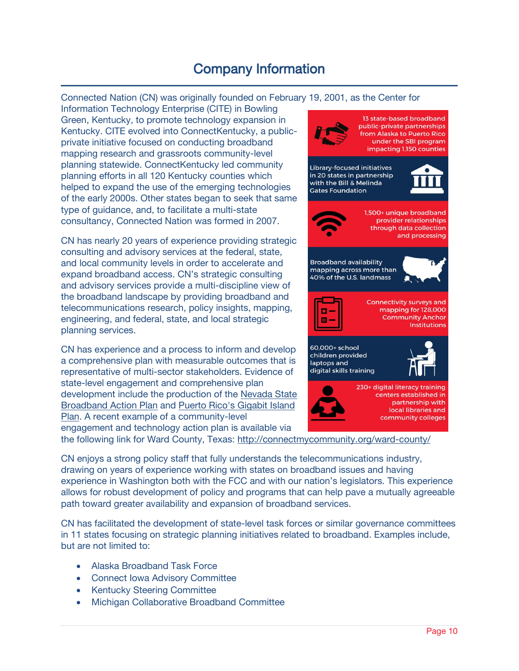## Company Information

Connected Nation (CN) was originally founded on February 19, 2001, as the Center for

Information Technology Enterprise (CITE) in Bowling Green, Kentucky, to promote technology expansion in Kentucky. CITE evolved into ConnectKentucky, a publicprivate initiative focused on conducting broadband mapping research and grassroots community-level planning statewide. ConnectKentucky led community planning efforts in all 120 Kentucky counties which helped to expand the use of the emerging technologies of the early 2000s. Other states began to seek that same type of guidance, and, to facilitate a multi-state consultancy, Connected Nation was formed in 2007.

CN has nearly 20 years of experience providing strategic consulting and advisory services at the federal, state, and local community levels in order to accelerate and expand broadband access. CN's strategic consulting and advisory services provide a multi-discipline view of the broadband landscape by providing broadband and telecommunications research, policy insights, mapping, engineering, and federal, state, and local strategic planning services.

CN has experience and a process to inform and develop a comprehensive plan with measurable outcomes that is representative of multi-sector stakeholders. Evidence of state-level engagement and comprehensive plan development include the production of the [Nevada State](http://www.connectnv.org/broadband-plan)  [Broadband Action Plan](http://www.connectnv.org/broadband-plan) and [Puerto Rico's Gigabit Island](http://www.connectpr.org/gigabit-island-plan)  [Plan.](http://www.connectpr.org/gigabit-island-plan) A recent example of a community-level engagement and technology action plan is available via



the following link for Ward County, Texas:<http://connectmycommunity.org/ward-county/>

CN enjoys a strong policy staff that fully understands the telecommunications industry, drawing on years of experience working with states on broadband issues and having experience in Washington both with the FCC and with our nation's legislators. This experience allows for robust development of policy and programs that can help pave a mutually agreeable path toward greater availability and expansion of broadband services.

CN has facilitated the development of state-level task forces or similar governance committees in 11 states focusing on strategic planning initiatives related to broadband. Examples include, but are not limited to:

- Alaska Broadband Task Force
- Connect Iowa Advisory Committee
- Kentucky Steering Committee
- Michigan Collaborative Broadband Committee